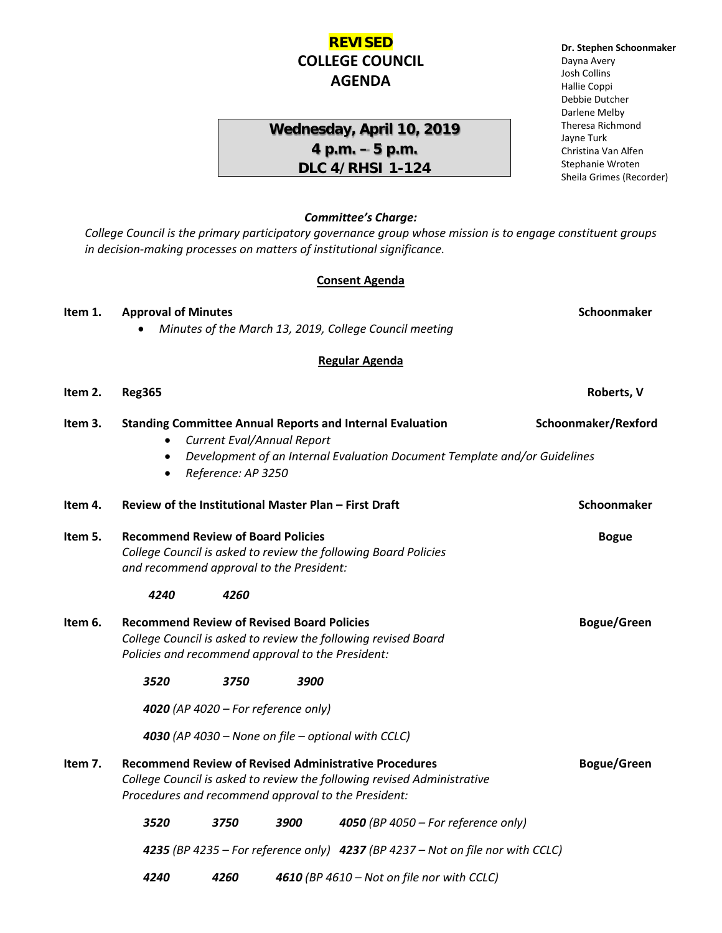# **REVISED COLLEGE COUNCIL AGENDA**

# **Wednesday, April 10, 2019 4 p.m. – 5 p.m. DLC 4/RHSI 1-124**

#### **Dr. Stephen Schoonmaker** Dayna Avery Josh Collins Hallie Coppi Debbie Dutcher Darlene Melby Theresa Richmond Jayne Turk Christina Van Alfen Stephanie Wroten Sheila Grimes (Recorder)

## *Committee's Charge:*

*College Council is the primary participatory governance group whose mission is to engage constituent groups in decision-making processes on matters of institutional significance.* 

#### **Consent Agenda**

| Item 1.                                                   | <b>Approval of Minutes</b><br>Minutes of the March 13, 2019, College Council meeting                                                                                                                                          |                                                                                |      |                                     | Schoonmaker        |
|-----------------------------------------------------------|-------------------------------------------------------------------------------------------------------------------------------------------------------------------------------------------------------------------------------|--------------------------------------------------------------------------------|------|-------------------------------------|--------------------|
|                                                           |                                                                                                                                                                                                                               |                                                                                |      |                                     |                    |
|                                                           |                                                                                                                                                                                                                               |                                                                                |      | <b>Regular Agenda</b>               |                    |
| Item 2.                                                   | <b>Reg365</b>                                                                                                                                                                                                                 |                                                                                |      |                                     | Roberts, V         |
| Item 3.                                                   | Schoonmaker/Rexford<br><b>Standing Committee Annual Reports and Internal Evaluation</b><br>Current Eval/Annual Report<br>Development of an Internal Evaluation Document Template and/or Guidelines<br>Reference: AP 3250<br>٠ |                                                                                |      |                                     |                    |
| Item 4.                                                   | Review of the Institutional Master Plan - First Draft                                                                                                                                                                         |                                                                                |      |                                     | Schoonmaker        |
| Item 5.                                                   | <b>Recommend Review of Board Policies</b><br>College Council is asked to review the following Board Policies<br>and recommend approval to the President:                                                                      |                                                                                |      |                                     | <b>Bogue</b>       |
|                                                           | 4240                                                                                                                                                                                                                          | 4260                                                                           |      |                                     |                    |
| Item 6.                                                   | <b>Recommend Review of Revised Board Policies</b><br>College Council is asked to review the following revised Board<br>Policies and recommend approval to the President:                                                      |                                                                                |      |                                     | <b>Bogue/Green</b> |
|                                                           | 3520                                                                                                                                                                                                                          | 3750                                                                           | 3900 |                                     |                    |
|                                                           | 4020 (AP 4020 - For reference only)                                                                                                                                                                                           |                                                                                |      |                                     |                    |
| <b>4030</b> (AP 4030 – None on file – optional with CCLC) |                                                                                                                                                                                                                               |                                                                                |      |                                     |                    |
| Item 7.                                                   | <b>Recommend Review of Revised Administrative Procedures</b><br>College Council is asked to review the following revised Administrative<br>Procedures and recommend approval to the President:                                |                                                                                |      |                                     | <b>Bogue/Green</b> |
|                                                           | 3520                                                                                                                                                                                                                          | 3750                                                                           | 3900 | 4050 (BP 4050 - For reference only) |                    |
|                                                           |                                                                                                                                                                                                                               | 4235 (BP 4235 – For reference only) 4237 (BP 4237 – Not on file nor with CCLC) |      |                                     |                    |

*4240 4260 4610 (BP 4610 – Not on file nor with CCLC)*